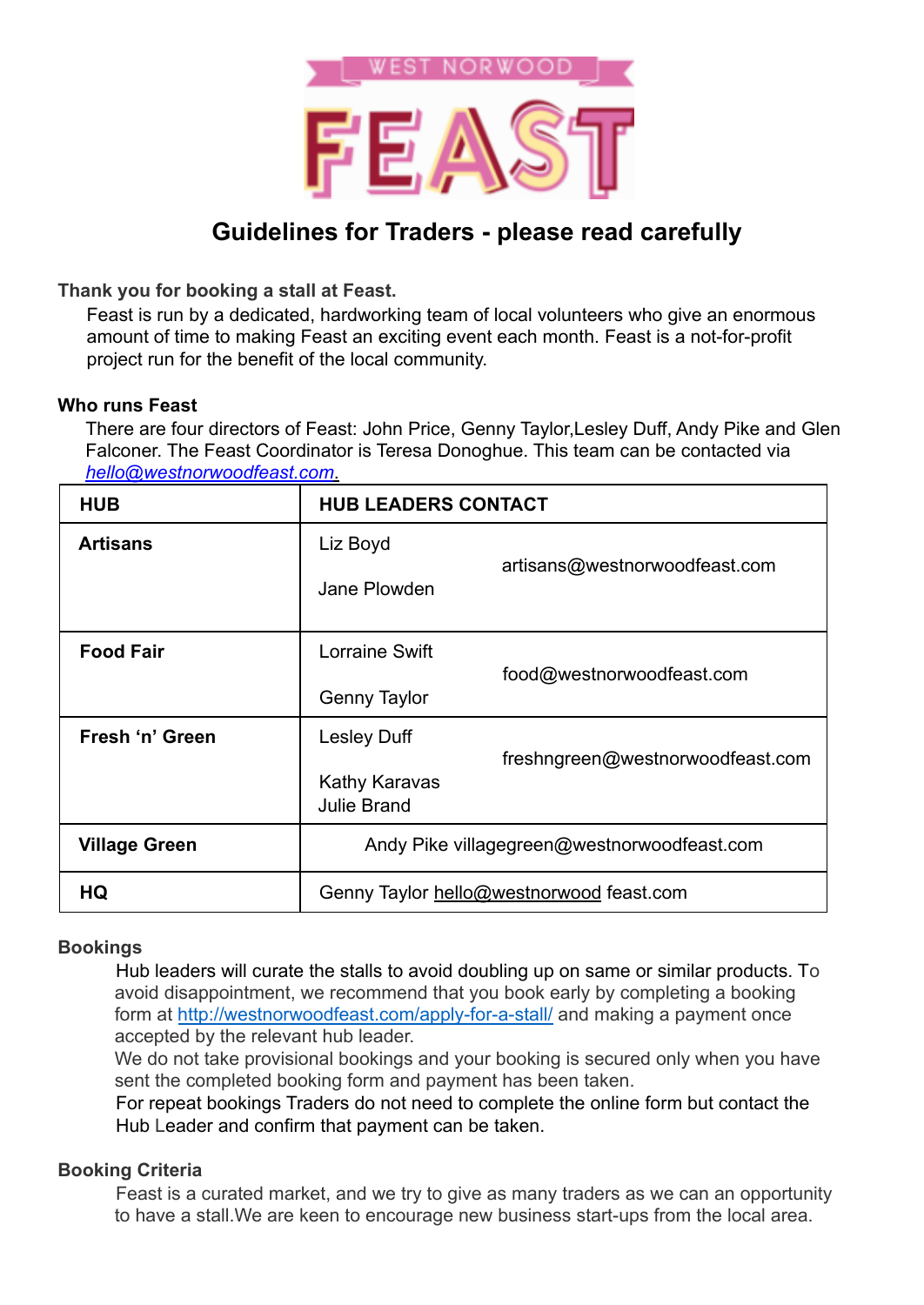

# **Guidelines for Traders - please read carefully**

**Thank you for booking a stall at Feast.**

Feast is run by a dedicated, hardworking team of local volunteers who give an enormous amount of time to making Feast an exciting event each month. Feast is a not-for-profit project run for the benefit of the local community.

## **Who runs Feast**

There are four directors of Feast: John Price, Genny Taylor,Lesley Duff, Andy Pike and Glen Falconer. The Feast Coordinator is Teresa Donoghue. This team can be contacted via *hello@westnorwoodfeast.com*.

| <b>HUB</b>           | <b>HUB LEADERS CONTACT</b>                  |                                          |
|----------------------|---------------------------------------------|------------------------------------------|
| <b>Artisans</b>      | Liz Boyd                                    |                                          |
|                      | Jane Plowden                                | artisans@westnorwoodfeast.com            |
| <b>Food Fair</b>     | Lorraine Swift                              | food@westnorwoodfeast.com                |
|                      | <b>Genny Taylor</b>                         |                                          |
| Fresh 'n' Green      | <b>Lesley Duff</b>                          | freshngreen@westnorwoodfeast.com         |
|                      | Kathy Karavas<br><b>Julie Brand</b>         |                                          |
| <b>Village Green</b> | Andy Pike villagegreen@westnorwoodfeast.com |                                          |
| HQ                   |                                             | Genny Taylor hello@westnorwood feast.com |

# **Bookings**

Hub leaders will curate the stalls to avoid doubling up on same or similar products. To avoid disappointment, we recommend that you book early by completing a booking form at http://westnorwoodfeast.com/apply-for-a-stall/ and making a payment once accepted by the relevant hub leader.

We do not take provisional bookings and your booking is secured only when you have sent the completed booking form and payment has been taken.

For repeat bookings Traders do not need to complete the online form but contact the Hub Leader and confirm that payment can be taken.

# **Booking Criteria**

Feast is a curated market, and we try to give as many traders as we can an opportunity to have a stall.We are keen to encourage new business start-ups from the local area.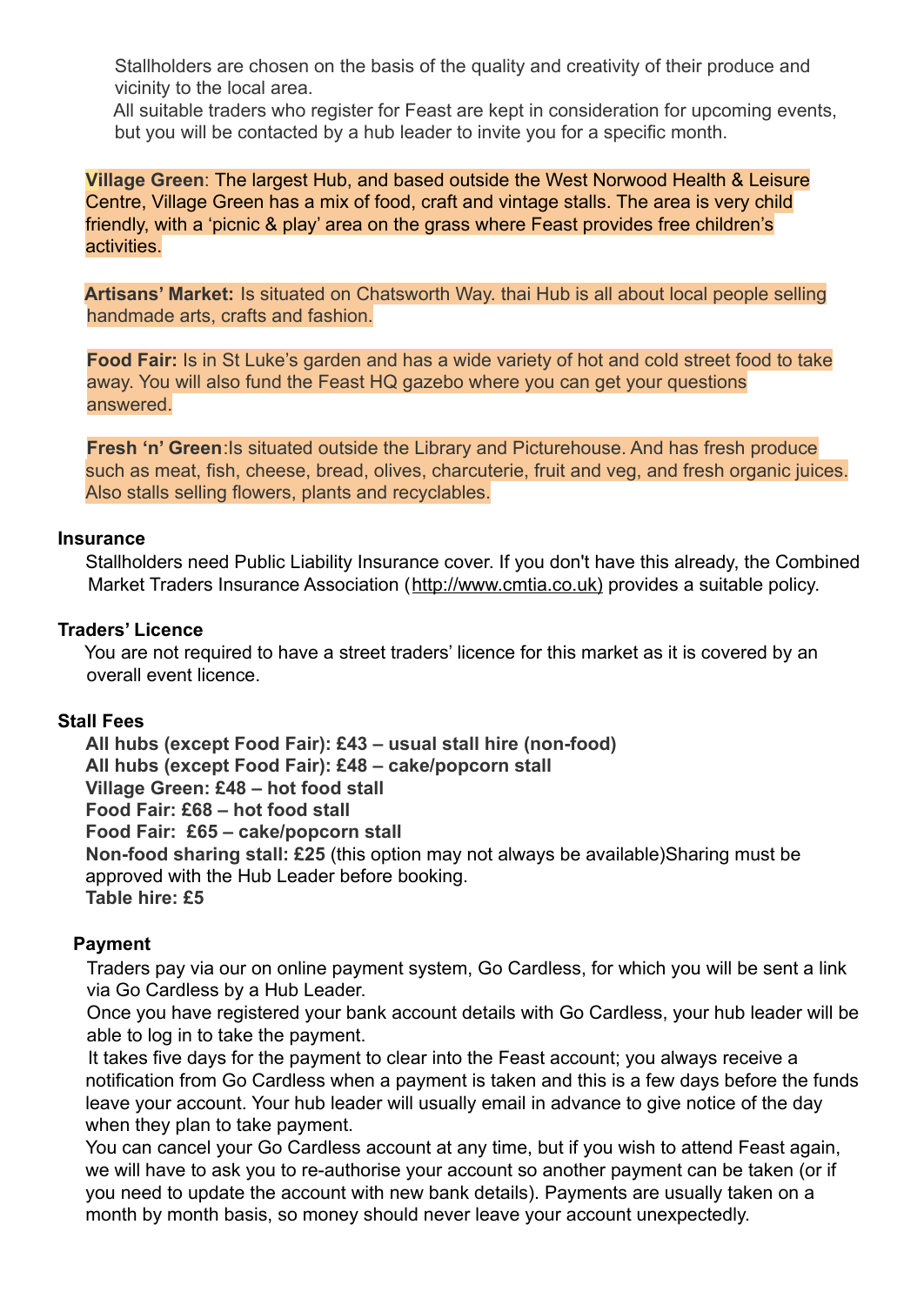Stallholders are chosen on the basis of the quality and creativity of their produce and vicinity to the local area.

All suitable traders who register for Feast are kept in consideration for upcoming events, but you will be contacted by a hub leader to invite you for a specific month.

**Village Green**: The largest Hub, and based outside the West Norwood Health & Leisure Centre, Village Green has a mix of food, craft and vintage stalls. The area is very child friendly, with a 'picnic & play' area on the grass where Feast provides free children's activities.

**Artisans' Market:** Is situated on Chatsworth Way. thai Hub is all about local people selling handmade arts, crafts and fashion.

**Food Fair:** Is in St Luke's garden and has a wide variety of hot and cold street food to take away. You will also fund the Feast HQ gazebo where you can get your questions answered.

**Fresh 'n' Green**: Is situated outside the Library and Picturehouse. And has fresh produce such as meat, fish, cheese, bread, olives, charcuterie, fruit and veg, and fresh organic juices. Also stalls selling flowers, plants and recyclables.

#### **Insurance**

Stallholders need Public Liability Insurance cover. If you don't have this already, the Combined Market Traders Insurance Association (http://www.cmtia.co.uk) provides a suitable policy.

#### **Traders' Licence**

You are not required to have a street traders' licence for this market as it is covered by an overall event licence.

## **Stall Fees**

**All hubs (except Food Fair): £43 – usual stall hire (non-food) All hubs (except Food Fair): £48 – cake/popcorn stall Village Green: £48 – hot food stall Food Fair: £68 – hot food stall Food Fair: £65 – cake/popcorn stall Non-food sharing stall: £25** (this option may not always be available)Sharing must be approved with the Hub Leader before booking. **Table hire: £5**

## **Payment**

Traders pay via our on online payment system, Go Cardless, for which you will be sent a link via Go Cardless by a Hub Leader.

Once you have registered your bank account details with Go Cardless, your hub leader will be able to log in to take the payment.

It takes five days for the payment to clear into the Feast account; you always receive a notification from Go Cardless when a payment is taken and this is a few days before the funds leave your account. Your hub leader will usually email in advance to give notice of the day when they plan to take payment.

You can cancel your Go Cardless account at any time, but if you wish to attend Feast again, we will have to ask you to re-authorise your account so another payment can be taken (or if you need to update the account with new bank details). Payments are usually taken on a month by month basis, so money should never leave your account unexpectedly.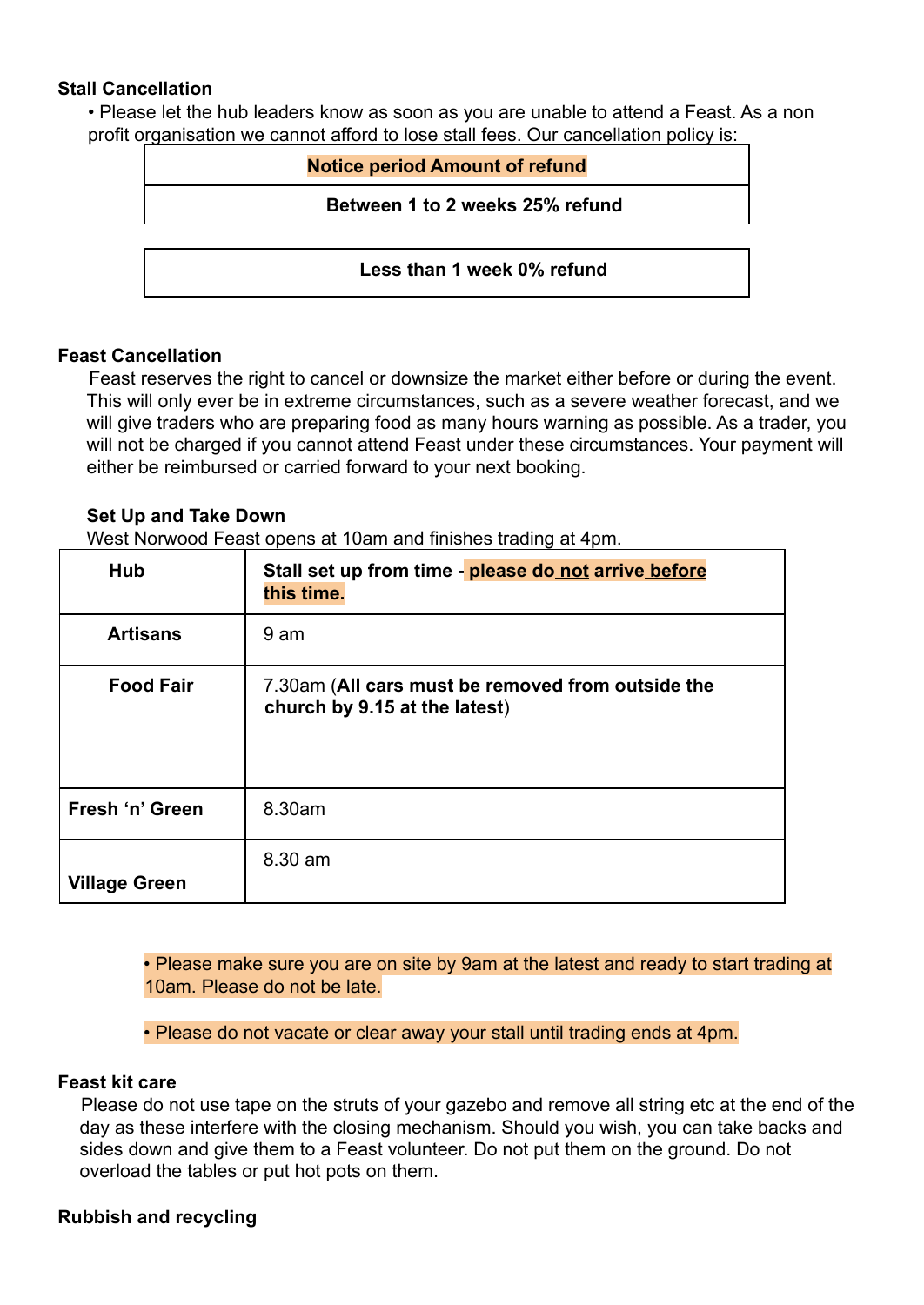## **Stall Cancellation**

• Please let the hub leaders know as soon as you are unable to attend a Feast. As a non profit organisation we cannot afford to lose stall fees. Our cancellation policy is:

| <b>Notice period Amount of refund</b> |  |
|---------------------------------------|--|
| Between 1 to 2 weeks 25% refund       |  |
|                                       |  |
| Less than 1 week 0% refund            |  |

## **Feast Cancellation**

Feast reserves the right to cancel or downsize the market either before or during the event. This will only ever be in extreme circumstances, such as a severe weather forecast, and we will give traders who are preparing food as many hours warning as possible. As a trader, you will not be charged if you cannot attend Feast under these circumstances. Your payment will either be reimbursed or carried forward to your next booking.

## **Set Up and Take Down**

West Norwood Feast opens at 10am and finishes trading at 4pm.

| Hub                  | Stall set up from time - please do not arrive before<br>this time.                 |
|----------------------|------------------------------------------------------------------------------------|
| <b>Artisans</b>      | 9 am                                                                               |
| <b>Food Fair</b>     | 7.30am (All cars must be removed from outside the<br>church by 9.15 at the latest) |
| Fresh 'n' Green      | 8.30am                                                                             |
| <b>Village Green</b> | 8.30 am                                                                            |

• Please make sure you are on site by 9am at the latest and ready to start trading at 10am. Please do not be late.

• Please do not vacate or clear away your stall until trading ends at 4pm.

## **Feast kit care**

Please do not use tape on the struts of your gazebo and remove all string etc at the end of the day as these interfere with the closing mechanism. Should you wish, you can take backs and sides down and give them to a Feast volunteer. Do not put them on the ground. Do not overload the tables or put hot pots on them.

# **Rubbish and recycling**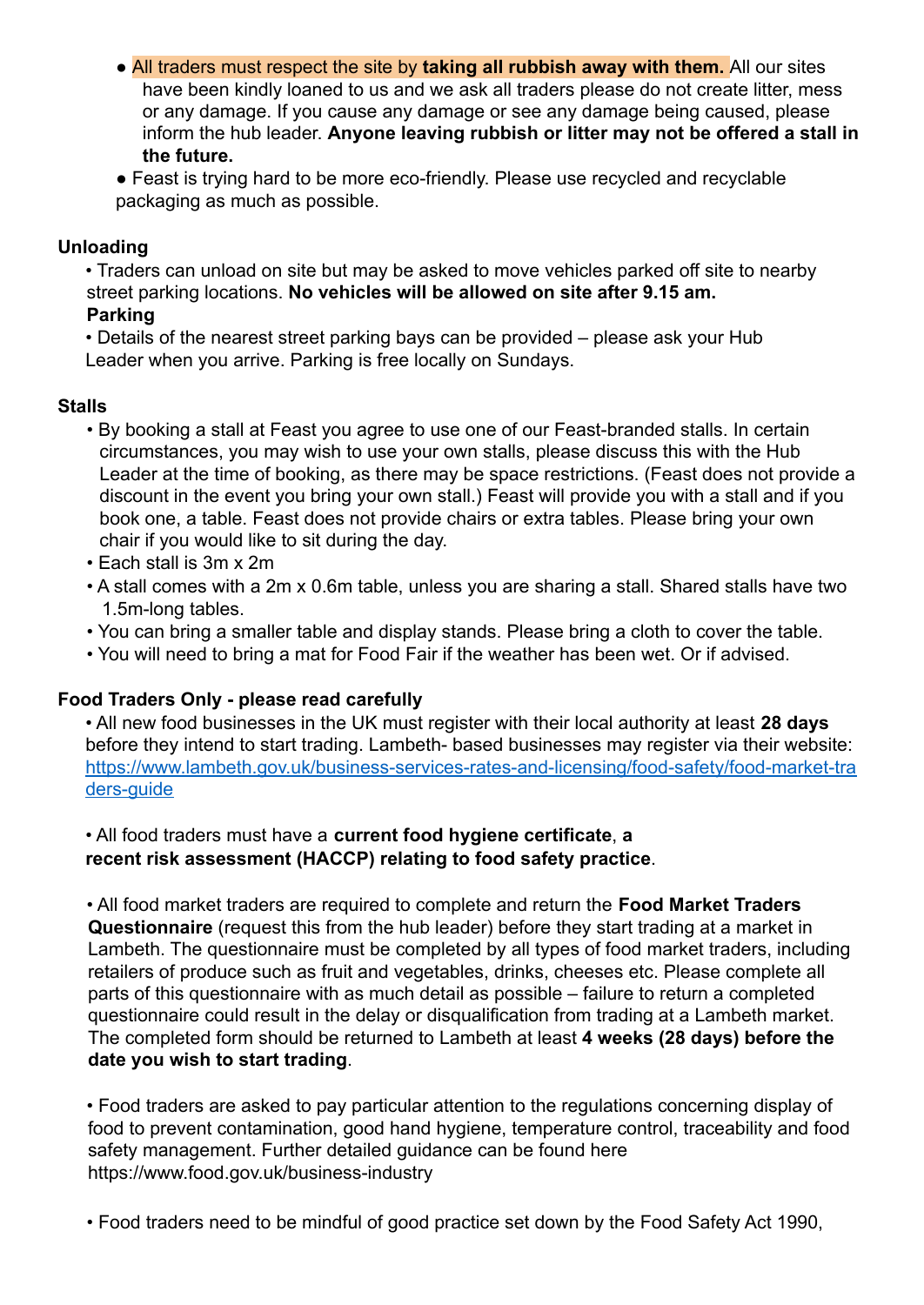● All traders must respect the site by **taking all rubbish away with them.** All our sites have been kindly loaned to us and we ask all traders please do not create litter, mess or any damage. If you cause any damage or see any damage being caused, please inform the hub leader. **Anyone leaving rubbish or litter may not be offered a stall in the future.**

● Feast is trying hard to be more eco-friendly. Please use recycled and recyclable packaging as much as possible.

# **Unloading**

• Traders can unload on site but may be asked to move vehicles parked off site to nearby street parking locations. **No vehicles will be allowed on site after 9.15 am.**

## **Parking**

• Details of the nearest street parking bays can be provided – please ask your Hub Leader when you arrive. Parking is free locally on Sundays.

## **Stalls**

- By booking a stall at Feast you agree to use one of our Feast-branded stalls. In certain circumstances, you may wish to use your own stalls, please discuss this with the Hub Leader at the time of booking, as there may be space restrictions. (Feast does not provide a discount in the event you bring your own stall.) Feast will provide you with a stall and if you book one, a table. Feast does not provide chairs or extra tables. Please bring your own chair if you would like to sit during the day.
- Each stall is 3m x 2m
- A stall comes with a 2m x 0.6m table, unless you are sharing a stall. Shared stalls have two 1.5m-long tables.
- You can bring a smaller table and display stands. Please bring a cloth to cover the table.
- You will need to bring a mat for Food Fair if the weather has been wet. Or if advised.

# **Food Traders Only - please read carefully**

• All new food businesses in the UK must register with their local authority at least **28 days** before they intend to start trading. Lambeth- based businesses may register via their website: https://www.lambeth.gov.uk/business-services-rates-and-licensing/food-safety/food-market-tra ders-guide

# • All food traders must have a **current food hygiene certificate**, **a recent risk assessment (HACCP) relating to food safety practice**.

• All food market traders are required to complete and return the **Food Market Traders Questionnaire** (request this from the hub leader) before they start trading at a market in Lambeth. The questionnaire must be completed by all types of food market traders, including retailers of produce such as fruit and vegetables, drinks, cheeses etc. Please complete all parts of this questionnaire with as much detail as possible – failure to return a completed questionnaire could result in the delay or disqualification from trading at a Lambeth market. The completed form should be returned to Lambeth at least **4 weeks (28 days) before the date you wish to start trading**.

• Food traders are asked to pay particular attention to the regulations concerning display of food to prevent contamination, good hand hygiene, temperature control, traceability and food safety management. Further detailed guidance can be found here https://www.food.gov.uk/business-industry

• Food traders need to be mindful of good practice set down by the Food Safety Act 1990,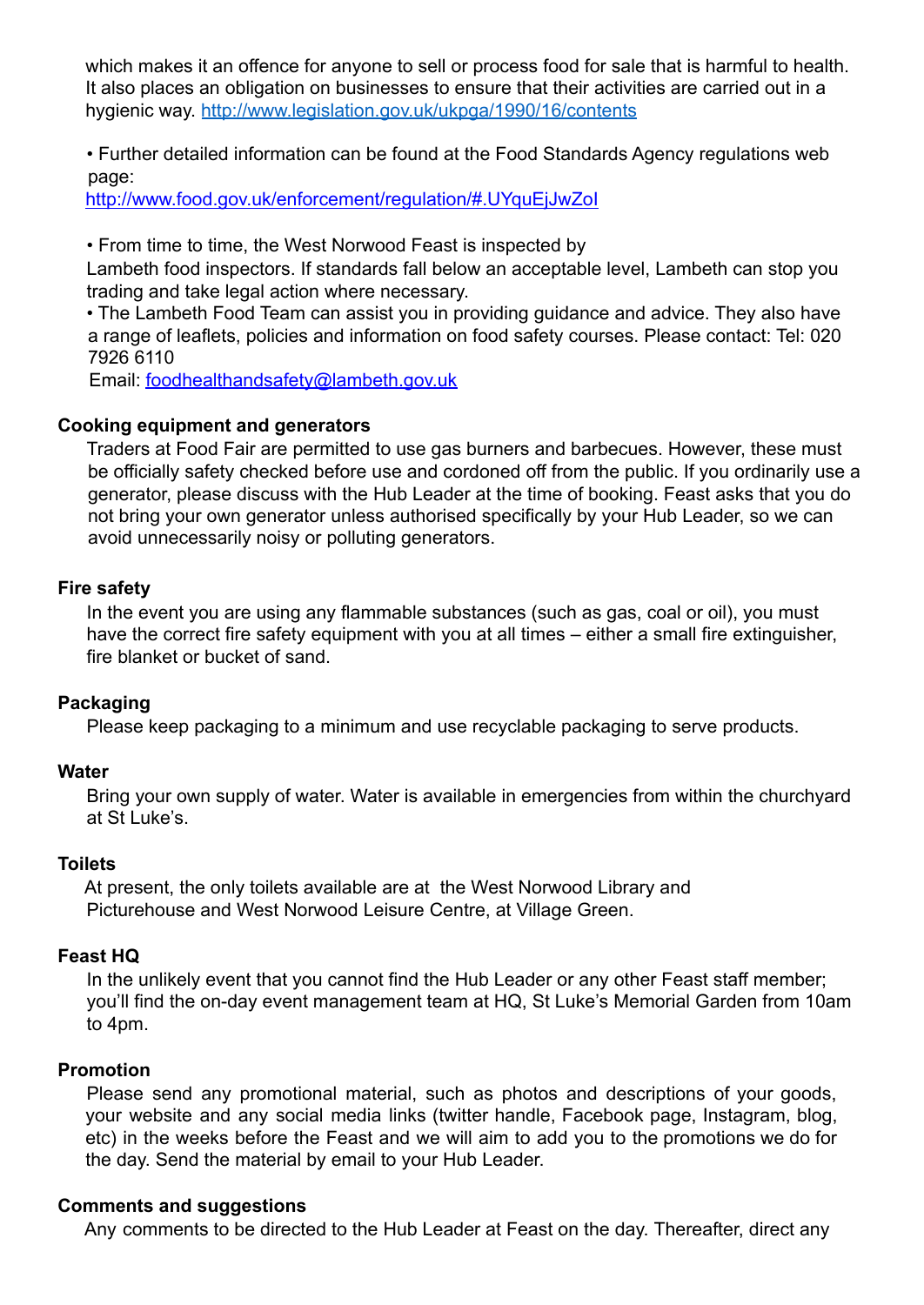which makes it an offence for anyone to sell or process food for sale that is harmful to health. It also places an obligation on businesses to ensure that their activities are carried out in a hygienic way. http://www.legislation.gov.uk/ukpga/1990/16/contents

• Further detailed information can be found at the Food Standards Agency regulations web page:

http://www.food.gov.uk/enforcement/regulation/#.UYquEjJwZoI

• From time to time, the West Norwood Feast is inspected by

Lambeth food inspectors. If standards fall below an acceptable level, Lambeth can stop you trading and take legal action where necessary.

• The Lambeth Food Team can assist you in providing guidance and advice. They also have a range of leaflets, policies and information on food safety courses. Please contact: Tel: 020 7926 6110

Email: foodhealthandsafety@lambeth.gov.uk

## **Cooking equipment and generators**

Traders at Food Fair are permitted to use gas burners and barbecues. However, these must be officially safety checked before use and cordoned off from the public. If you ordinarily use a generator, please discuss with the Hub Leader at the time of booking. Feast asks that you do not bring your own generator unless authorised specifically by your Hub Leader, so we can avoid unnecessarily noisy or polluting generators.

#### **Fire safety**

In the event you are using any flammable substances (such as gas, coal or oil), you must have the correct fire safety equipment with you at all times – either a small fire extinguisher, fire blanket or bucket of sand.

#### **Packaging**

Please keep packaging to a minimum and use recyclable packaging to serve products.

#### **Water**

Bring your own supply of water. Water is available in emergencies from within the churchyard at St Luke's.

#### **Toilets**

At present, the only toilets available are at the West Norwood Library and Picturehouse and West Norwood Leisure Centre, at Village Green.

#### **Feast HQ**

In the unlikely event that you cannot find the Hub Leader or any other Feast staff member; you'll find the on-day event management team at HQ, St Luke's Memorial Garden from 10am to 4pm.

#### **Promotion**

Please send any promotional material, such as photos and descriptions of your goods, your website and any social media links (twitter handle, Facebook page, Instagram, blog, etc) in the weeks before the Feast and we will aim to add you to the promotions we do for the day. Send the material by email to your Hub Leader.

#### **Comments and suggestions**

Any comments to be directed to the Hub Leader at Feast on the day. Thereafter, direct any